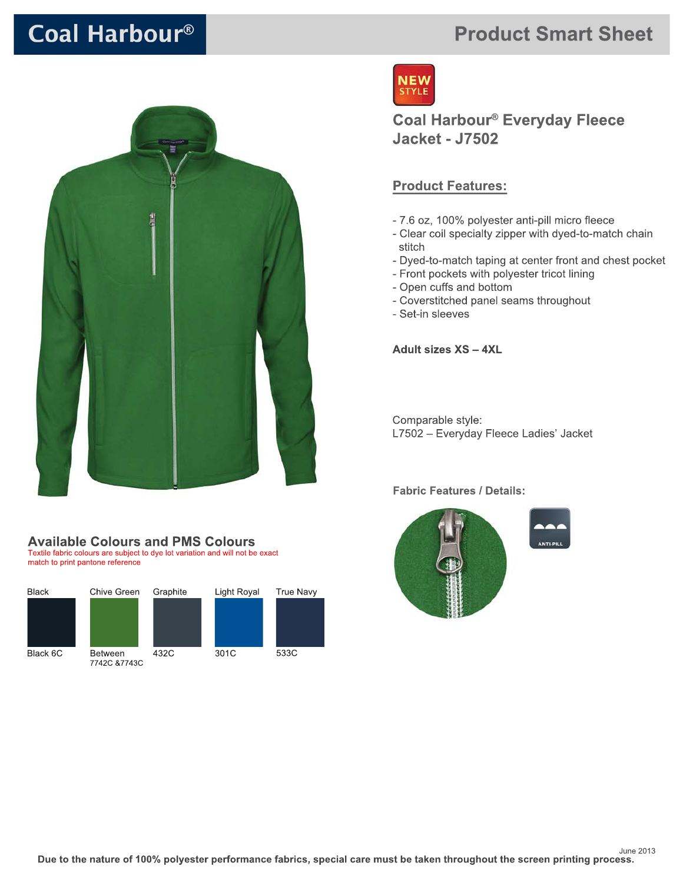# Coal Harbour®



### **Available Colours and PMS Colours**

Textile fabric colours are subject to dye lot variation and will not be exact match to print pantone reference



# **Product Smart Sheet**



**Coal Harbour® Everyday Fleece Jacket - J7502** 

### **Product Features:**

- 7.6 oz, 100% polyester anti-pill micro fleece
- Clear coil specialty zipper with dyed-to-match chain stitch
- Dyed-to-match taping at center front and chest pocket
- Front pockets with polyester tricot lining
- Open cuffs and bottom
- Coverstitched panel seams throughout
- Set-in sleeves

**Adult sizes XS - 4XL** 

Comparable style: L7502 - Everyday Fleece Ladies' Jacket

#### **Fabric Features / Details:**